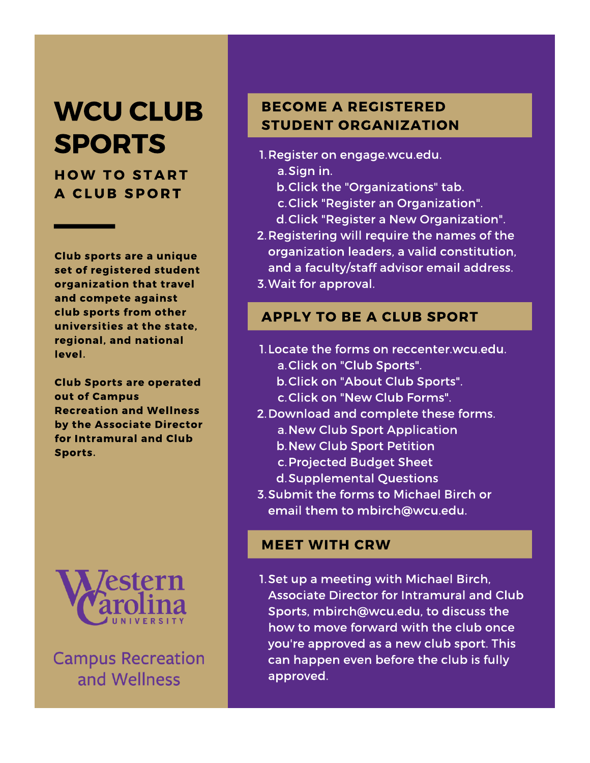## **WCU CLUB SPORTS**

**HOW TO START A CLUB SPORT** 

Club sports are a unique set of registered student organization that travel and compete against club sports from other universities at the state. regional, and national level.

**Club Sports are operated** out of Campus **Recreation and Wellness** by the Associate Director for Intramural and Club Sports.



**Campus Recreation** and Wellness

## **BECOME A REGISTERED STUDENT ORGANIZATION**

- 1. Register on engage.wcu.edu.
	- a.Sign in.
	- b. Click the "Organizations" tab.
	- c. Click "Register an Organization".
	- d. Click "Register a New Organization".
- 2. Registering will require the names of the organization leaders, a valid constitution, and a faculty/staff advisor email address.
- 3. Wait for approval.

## **APPLY TO BE A CLUB SPORT**

- 1. Locate the forms on reccenter wcu.edu. a. Click on "Club Sports".
	- b. Click on "About Club Sports".
	- c.Click on "New Club Forms".
- 2. Download and complete these forms.
	- a. New Club Sport Application
	- **b. New Club Sport Petition**
	- c. Projected Budget Sheet
	- d. Supplemental Questions
- 3. Submit the forms to Michael Birch or email them to mbirch@wcu.edu.

## **MEET WITH CRW**

1. Set up a meeting with Michael Birch. Associate Director for Intramural and Club Sports, mbirch@wcu.edu, to discuss the how to move forward with the club once you're approved as a new club sport. This can happen even before the club is fully approved.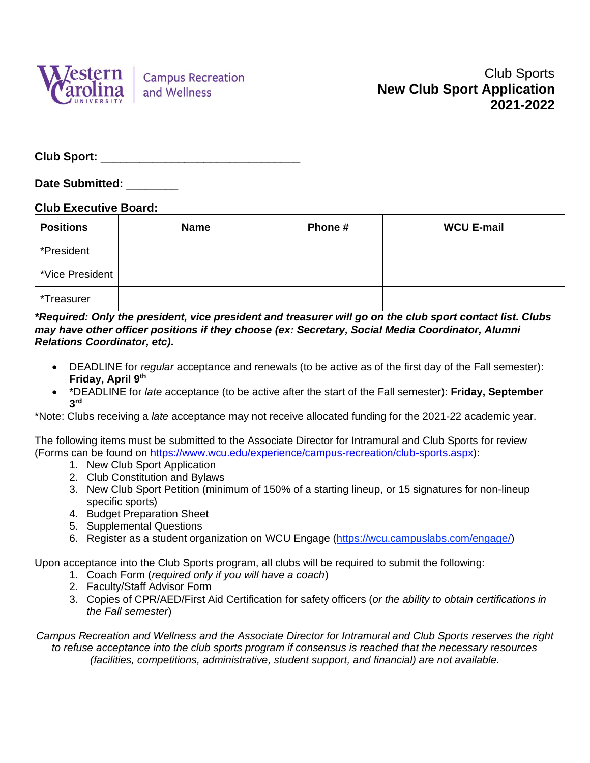

**Date Submitted:** \_\_\_\_\_\_\_\_

#### **Club Executive Board:**

| <b>Positions</b> | <b>Name</b> | Phone# | <b>WCU E-mail</b> |
|------------------|-------------|--------|-------------------|
| *President       |             |        |                   |
| *Vice President  |             |        |                   |
| *Treasurer       |             |        |                   |

*\*Required: Only the president, vice president and treasurer will go on the club sport contact list. Clubs may have other officer positions if they choose (ex: Secretary, Social Media Coordinator, Alumni Relations Coordinator, etc).*

- DEADLINE for *regular* acceptance and renewals (to be active as of the first day of the Fall semester): **Friday, April 9 th**
- \*DEADLINE for *late* acceptance (to be active after the start of the Fall semester): **Friday, September 3 rd**

\*Note: Clubs receiving a *late* acceptance may not receive allocated funding for the 2021-22 academic year.

The following items must be submitted to the Associate Director for Intramural and Club Sports for review (Forms can be found on [https://www.wcu.edu/experience/campus-recreation/club-sports.aspx\)](https://www.wcu.edu/experience/campus-recreation/club-sports.aspx):

- 1. New Club Sport Application
- 2. Club Constitution and Bylaws
- 3. New Club Sport Petition (minimum of 150% of a starting lineup, or 15 signatures for non-lineup specific sports)
- 4. Budget Preparation Sheet
- 5. Supplemental Questions
- 6. Register as a student organization on WCU Engage (https://wcu.campuslabs.com/engage/)

Upon acceptance into the Club Sports program, all clubs will be required to submit the following:

- 1. Coach Form (*required only if you will have a coach*)
- 2. Faculty/Staff Advisor Form
- 3. Copies of CPR/AED/First Aid Certification for safety officers (*or the ability to obtain certifications in the Fall semester*)

*Campus Recreation and Wellness and the Associate Director for Intramural and Club Sports reserves the right to refuse acceptance into the club sports program if consensus is reached that the necessary resources (facilities, competitions, administrative, student support, and financial) are not available.*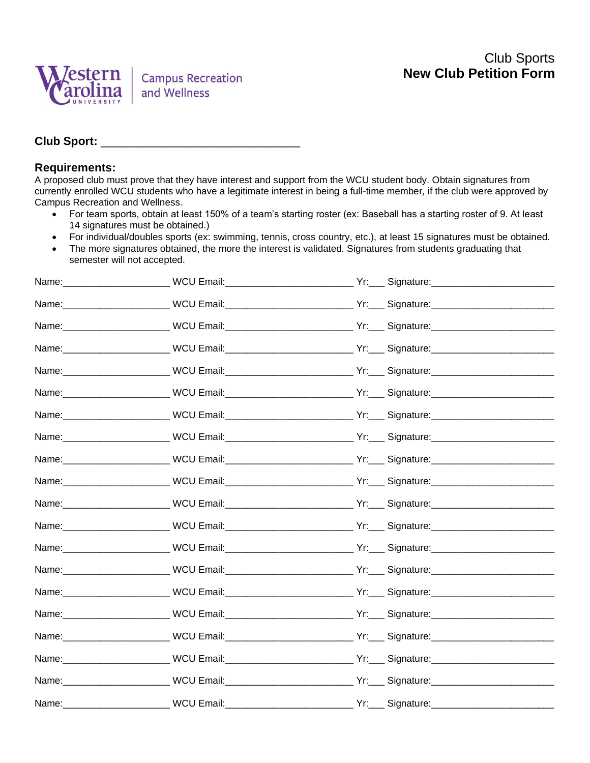

#### **Requirements:**

A proposed club must prove that they have interest and support from the WCU student body. Obtain signatures from currently enrolled WCU students who have a legitimate interest in being a full-time member, if the club were approved by Campus Recreation and Wellness.

- For team sports, obtain at least 150% of a team's starting roster (ex: Baseball has a starting roster of 9. At least 14 signatures must be obtained.)
- For individual/doubles sports (ex: swimming, tennis, cross country, etc.), at least 15 signatures must be obtained.
- The more signatures obtained, the more the interest is validated. Signatures from students graduating that semester will not accepted.

|  | Name: __________________________WCU Email: ______________________________Yr: ___ Signature: ________________________ |
|--|----------------------------------------------------------------------------------------------------------------------|
|  | Name: ___________________________WCU Email: _______________________________Yr: ____ Signature: _____________________ |
|  | Name: ___________________________WCU Email: _______________________________Yr: ____ Signature: _____________________ |
|  | Name: __________________________WCU Email: ______________________________Yr: ____ Signature: _______________________ |
|  | Name: ____________________________WCU Email:_______________________________Yr:____ Signature:_______________________ |
|  | Name: ___________________________WCU Email: ______________________________Yr:____ Signature: _______________________ |
|  | Name: __________________________WCU Email: _______________________________Yr: ___ Signature: _______________________ |
|  | Name: ____________________________WCU Email: _______________________________Yr: ____ Signature: ____________________ |
|  |                                                                                                                      |
|  | Name: ___________________________WCU Email: _______________________________Yr: ____ Signature: _____________________ |
|  | Name: __________________________WCU Email:______________________________Yr:____ Signature:__________________________ |
|  |                                                                                                                      |
|  | Name: ___________________________WCU Email: _______________________________Yr: ____ Signature: _____________________ |
|  | Name: ___________________________WCU Email: _______________________________Yr: ____ Signature: _____________________ |
|  | Name: ___________________________WCU Email: _______________________________Yr: ____ Signature: _____________________ |
|  | Name: __________________________WCU Email:______________________________Yr:____Signature:__________________________  |
|  | Name: ___________________________WCU Email: ______________________________Yr: ____ Signature: ______________________ |
|  | Name: __________________________WCU Email: _______________________________Yr: ____ Signature: ______________________ |
|  | Name: ___________________________WCU Email: _______________________________Yr: ____ Signature: _____________________ |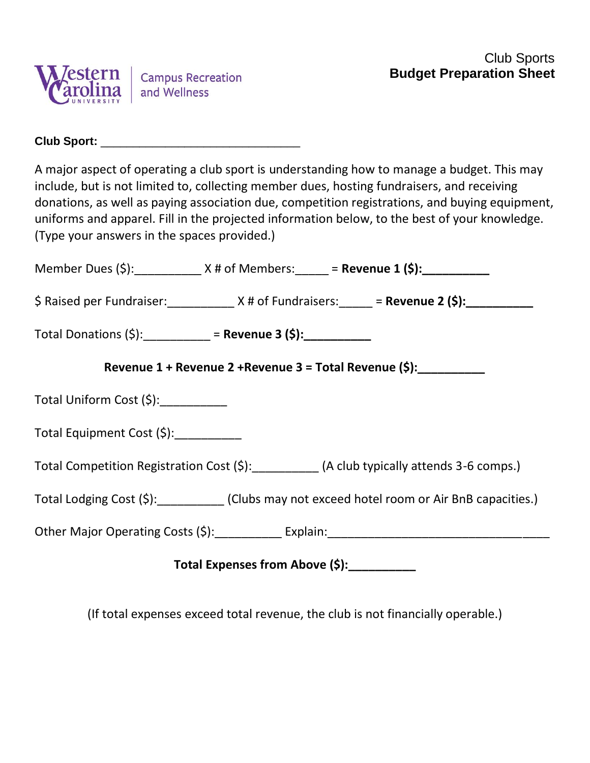

A major aspect of operating a club sport is understanding how to manage a budget. This may include, but is not limited to, collecting member dues, hosting fundraisers, and receiving donations, as well as paying association due, competition registrations, and buying equipment, uniforms and apparel. Fill in the projected information below, to the best of your knowledge. (Type your answers in the spaces provided.)

|                                                                                              |  | Member Dues (\$): $X \#$ of Members: $\frac{1}{1}$ = Revenue 1 (\$): $\frac{1}{1}$    |  |  |  |
|----------------------------------------------------------------------------------------------|--|---------------------------------------------------------------------------------------|--|--|--|
|                                                                                              |  | $\oint$ Raised per Fundraiser: $X \#$ of Fundraisers: $\frac{1}{1}$ = Revenue 2 (\$): |  |  |  |
| Total Donations (\$): __________ = Revenue 3 (\$): __________                                |  |                                                                                       |  |  |  |
| Revenue 1 + Revenue 2 + Revenue 3 = Total Revenue (\$):                                      |  |                                                                                       |  |  |  |
| Total Uniform Cost $(\xi)$ : __________                                                      |  |                                                                                       |  |  |  |
| Total Equipment Cost (\$): __________                                                        |  |                                                                                       |  |  |  |
| Total Competition Registration Cost (\$): __________ (A club typically attends 3-6 comps.)   |  |                                                                                       |  |  |  |
| Total Lodging Cost (\$): __________ (Clubs may not exceed hotel room or Air BnB capacities.) |  |                                                                                       |  |  |  |
|                                                                                              |  |                                                                                       |  |  |  |
| Total Expenses from Above (\$):                                                              |  |                                                                                       |  |  |  |

(If total expenses exceed total revenue, the club is not financially operable.)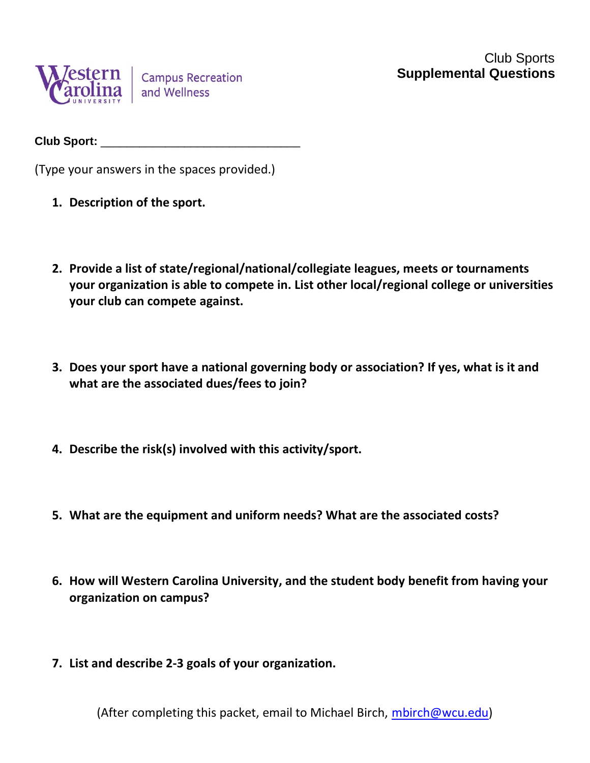

(Type your answers in the spaces provided.)

- **1. Description of the sport.**
- **2. Provide a list of state/regional/national/collegiate leagues, meets or tournaments your organization is able to compete in. List other local/regional college or universities your club can compete against.**
- **3. Does your sport have a national governing body or association? If yes, what is it and what are the associated dues/fees to join?**
- **4. Describe the risk(s) involved with this activity/sport.**
- **5. What are the equipment and uniform needs? What are the associated costs?**
- **6. How will Western Carolina University, and the student body benefit from having your organization on campus?**
- **7. List and describe 2-3 goals of your organization.**

(After completing this packet, email to Michael Birch, [mbirch@wcu.edu\)](mailto:mbirch@wcu.edu)